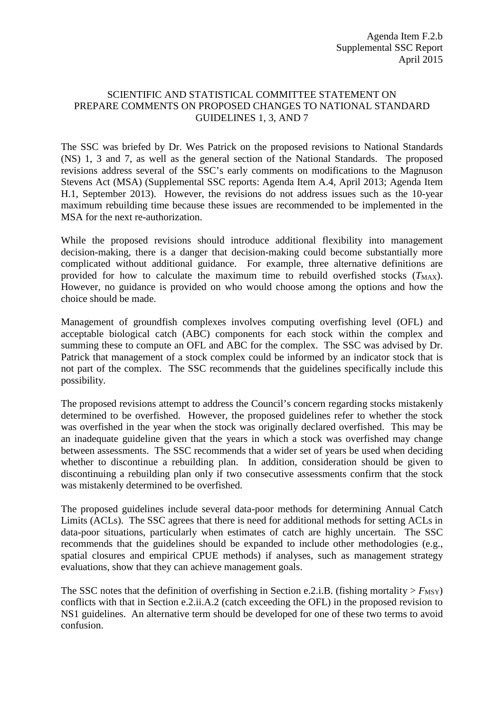## SCIENTIFIC AND STATISTICAL COMMITTEE STATEMENT ON PREPARE COMMENTS ON PROPOSED CHANGES TO NATIONAL STANDARD GUIDELINES 1, 3, AND 7

The SSC was briefed by Dr. Wes Patrick on the proposed revisions to National Standards (NS) 1, 3 and 7, as well as the general section of the National Standards. The proposed revisions address several of the SSC's early comments on modifications to the Magnuson Stevens Act (MSA) (Supplemental SSC reports: Agenda Item A.4, April 2013; Agenda Item H.1, September 2013). However, the revisions do not address issues such as the 10-year maximum rebuilding time because these issues are recommended to be implemented in the MSA for the next re-authorization.

While the proposed revisions should introduce additional flexibility into management decision-making, there is a danger that decision-making could become substantially more complicated without additional guidance. For example, three alternative definitions are provided for how to calculate the maximum time to rebuild overfished stocks  $(T_{MAX})$ . However, no guidance is provided on who would choose among the options and how the choice should be made.

Management of groundfish complexes involves computing overfishing level (OFL) and acceptable biological catch (ABC) components for each stock within the complex and summing these to compute an OFL and ABC for the complex. The SSC was advised by Dr. Patrick that management of a stock complex could be informed by an indicator stock that is not part of the complex. The SSC recommends that the guidelines specifically include this possibility.

The proposed revisions attempt to address the Council's concern regarding stocks mistakenly determined to be overfished. However, the proposed guidelines refer to whether the stock was overfished in the year when the stock was originally declared overfished. This may be an inadequate guideline given that the years in which a stock was overfished may change between assessments. The SSC recommends that a wider set of years be used when deciding whether to discontinue a rebuilding plan. In addition, consideration should be given to discontinuing a rebuilding plan only if two consecutive assessments confirm that the stock was mistakenly determined to be overfished.

The proposed guidelines include several data-poor methods for determining Annual Catch Limits (ACLs). The SSC agrees that there is need for additional methods for setting ACLs in data-poor situations, particularly when estimates of catch are highly uncertain. The SSC recommends that the guidelines should be expanded to include other methodologies (e.g., spatial closures and empirical CPUE methods) if analyses, such as management strategy evaluations, show that they can achieve management goals.

The SSC notes that the definition of overfishing in Section e.2.i.B. (fishing mortality  $> F_{\text{MSY}}$ ) conflicts with that in Section e.2.ii.A.2 (catch exceeding the OFL) in the proposed revision to NS1 guidelines. An alternative term should be developed for one of these two terms to avoid confusion.